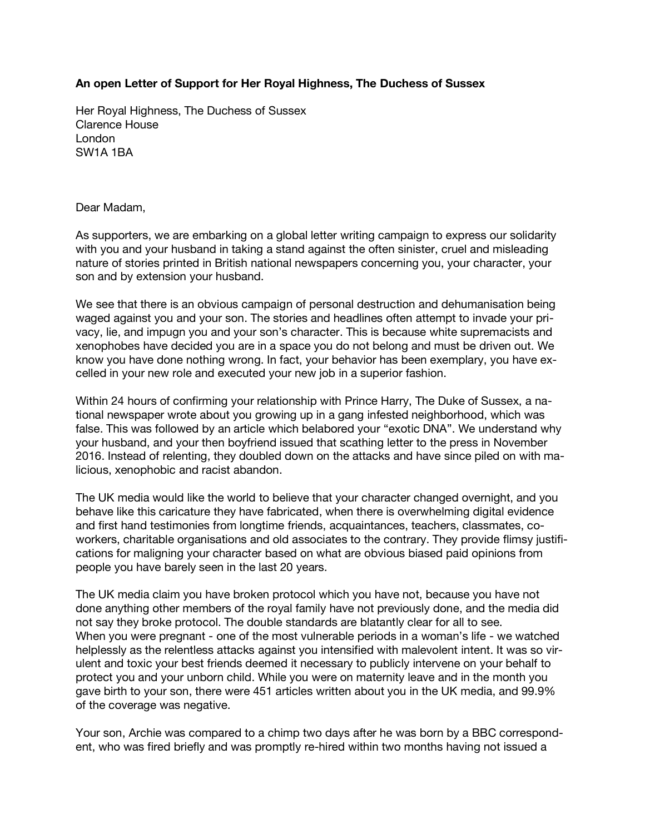## **An open Letter of Support for Her Royal Highness, The Duchess of Sussex**

Her Royal Highness, The Duchess of Sussex Clarence House London SW1A 1BA

## Dear Madam,

As supporters, we are embarking on a global letter writing campaign to express our solidarity with you and your husband in taking a stand against the often sinister, cruel and misleading nature of stories printed in British national newspapers concerning you, your character, your son and by extension your husband.

We see that there is an obvious campaign of personal destruction and dehumanisation being waged against you and your son. The stories and headlines often attempt to invade your privacy, lie, and impugn you and your son's character. This is because white supremacists and xenophobes have decided you are in a space you do not belong and must be driven out. We know you have done nothing wrong. In fact, your behavior has been exemplary, you have excelled in your new role and executed your new job in a superior fashion.

Within 24 hours of confirming your relationship with Prince Harry, The Duke of Sussex, a national newspaper wrote about you growing up in a gang infested neighborhood, which was false. This was followed by an article which belabored your "exotic DNA". We understand why your husband, and your then boyfriend issued that scathing letter to the press in November 2016. Instead of relenting, they doubled down on the attacks and have since piled on with malicious, xenophobic and racist abandon.

The UK media would like the world to believe that your character changed overnight, and you behave like this caricature they have fabricated, when there is overwhelming digital evidence and first hand testimonies from longtime friends, acquaintances, teachers, classmates, coworkers, charitable organisations and old associates to the contrary. They provide flimsy justifications for maligning your character based on what are obvious biased paid opinions from people you have barely seen in the last 20 years.

The UK media claim you have broken protocol which you have not, because you have not done anything other members of the royal family have not previously done, and the media did not say they broke protocol. The double standards are blatantly clear for all to see. When you were pregnant - one of the most vulnerable periods in a woman's life - we watched helplessly as the relentless attacks against you intensified with malevolent intent. It was so virulent and toxic your best friends deemed it necessary to publicly intervene on your behalf to protect you and your unborn child. While you were on maternity leave and in the month you gave birth to your son, there were 451 articles written about you in the UK media, and 99.9% of the coverage was negative.

Your son, Archie was compared to a chimp two days after he was born by a BBC correspondent, who was fired briefly and was promptly re-hired within two months having not issued a